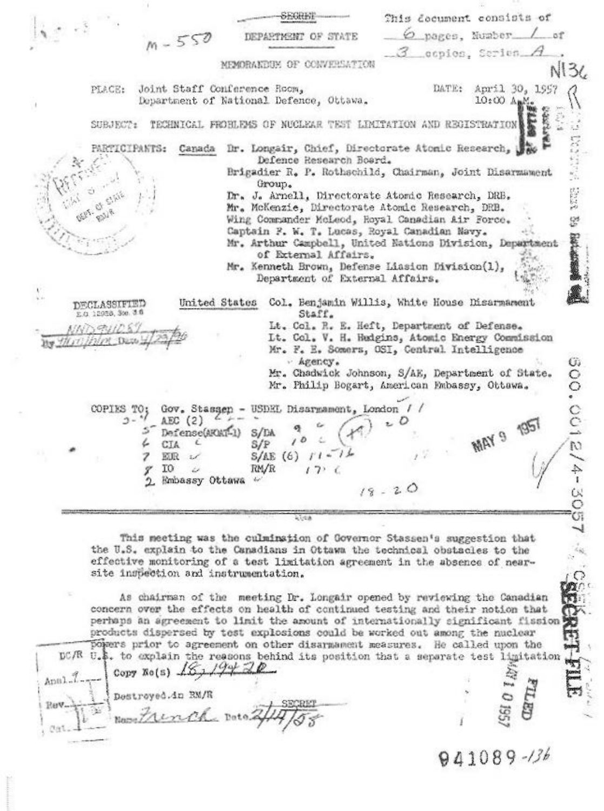This decument consists of  $n - 550$ pages. Number  $o<sub>f</sub>$ DEPARTMENT OF STATE ocpios, Series. MEMORAKEUM OF CONVERSATION  $N136$ Joint Staff Conference Room, April 30, 1957 DATE: PLACE: 10:00 Aug. Department of National Defence, Ottawa. TECHNICAL FROHLEMS OF NUCLEAR TEST LIMITATION AND REGISTRATION SUBJECT: Canada Dr. Longair, Chief, Directorate Atomic Research, PARTICIPANTS: Defence Research Board. Brigadier R. P. Rothschild, Chairman, Joint Disarmament Group. 22.023 Dr. J. Arnell, Directorate Atomic Research, DRB. Mr. McKenzie, Directorate Atomic Research, DRB. Wing Commander McLeod, Royal Canadian Air Force. 说 Captain F. W. T. Lucas, Royal Canadian Navy. 100-008 Mr. Arthur Campbell, United Nations Division, Department of External Affairs. Mr. Kenneth Brown, Defense Liasion Division(1), Department of External Affairs. DECLASSIFIED United States Col. Benjamin Willis, White House Disarmament E.O. 12958, 300. 3 0 Staff. Lt. Col. R. E. Heft, Department of Defense. このけりん It. Col. V. H. Hudgins, Atomic Energy Commission Mr. F. E. Somers, OSI, Central Intelligence 300.0012/4-305  $\nu$  Agency. Mr. Chadwick Johnson, S/AE, Department of State. Mr. Philip Bogart, American Embassy, Ottawa. COPIES TO: Gov. Stassen - USDEL Disarmament, London **MAY 9 1951**  $3 ABC(2)$ Defense(AROAT-1)  $S/LA$ 4 CIA S/P  $I1 -$ 7 欧民  $S/AE(6)$  $1.6$ I0 RM/R u  $(7)$ γ Embassy Ottawa

This meeting was the culminstion of Governor Stassen's suggestion that the U.S. explain to the Canadians in Ottawa the technical obstacles to the effective monitoring of a test limitation agreement in the absence of nearsite inspection and instrumentation.

As chairman of the meeting Dr. Longair opened by reviewing the Canadian concern over the effects on health of continued testing and their notion that Ω perhaps an agreement to limit the amount of internationally significant fission products dispersed by test explosions could be worked out among the nuclear powers prior to agreement on other disarmament measures. He called upon the DC/R U.S. to explain the reasons behind its position that a separate test limitation Copy Ro(s)  $15, 194, 20$ Anal. Destroyed.in RM/R Rev. inco Name

CUH

941089-136

 $\mathbb{C}$ 

YJ.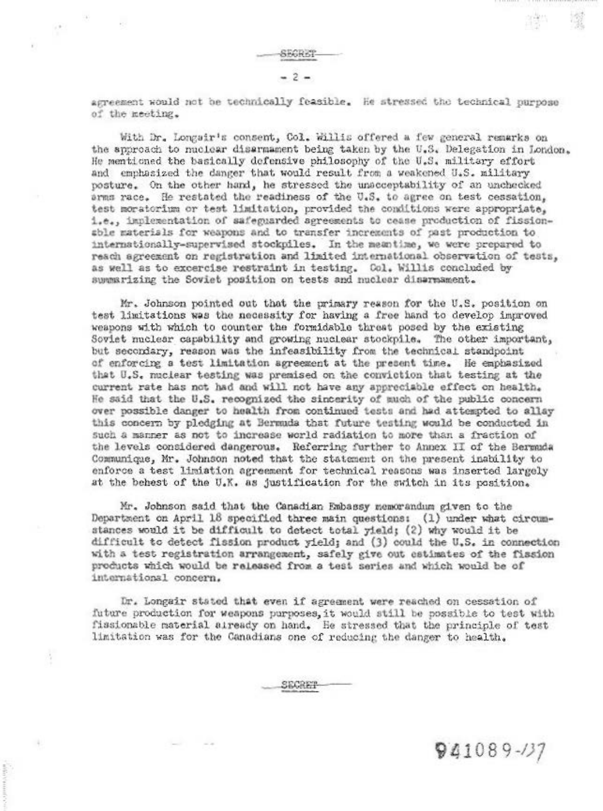agreement would not be technically feasible. He stressed the technical purpose of the meeting.

With Dr. Longsir's consent, Col. Willis offered a few general remarks on the approach to nuclear disarmament being taken by the U.S. Delegation in London. He mentioned the basically defensive philosophy of the U.S. military effort and emphasized the danger that would result from a weakened U.S. military posture. On the other hand, he stressed the unacceptability of an unchecked arms race. He restated the readiness of the U.S. to agree on test cessation, test moratorium or test limitation, provided the conditions were appropriate, 1.e., implementation of safeguarded sgreements to cease production of fissionsble materials for weapons and to transfer increments of past production to internationally-supervised stockpiles. In the meantime, we were prepared to reach agreement on registration and limited international observation of tests, as well as to excercise restraint in testing. Col. Willis concluded by summarizing the Soviet position on tests and nuclear disarmament.

Mr. Johnson pointed out that the primary reason for the U.S. position on test limitations was the necessity for having a free hand to develop improved weapons with which to counter the formidable threat posed by the existing Soviet nuclear capability and growing nuclear stockpile. The other important, but secondary, reason was the infeasibility from the technical standpoint of enforcing a test limitation agreement at the present time. He emphasized that U.S. nuclear testing was premised on the conviction that testing at the current rate has not had and will not have any appreciable effect on health. He said that the U.S. recognized the sincerity of much of the public concern over possible danger to health from continued tests and had attempted to allay this concern by pledging at Bermuda that future testing would be conducted in such a manner as not to increase world radiation to more than a fraction of the levels considered dangerous. Referring further to Annex II of the Bermuda Communique, Mr. Johnson noted that the statement on the present inability to enforce a test limiation agreement for technical reasons was inserted largely at the behest of the U.K. as justification for the switch in its position.

Mr. Johnson said that the Canadian Embassy memorandum given to the Department on April 18 specified three main questions: (1) under what circumstances would it be difficult to detect total yield; (2) why would it be difficult to detect fission product yield; and (3) could the U.S. in connection with a test registration arrangement, safely give out estimates of the fission products which would be released from a test series and which would be of international concern.

Dr. Longair stated that even if agreement were reached on cessation of future production for weapons purposes, it would still be possible to test with fissionable material aiready on hand. He stressed that the principle of test limitation was for the Canadians one of reducing the danger to health.

 $941089 - 137$ 

SECRET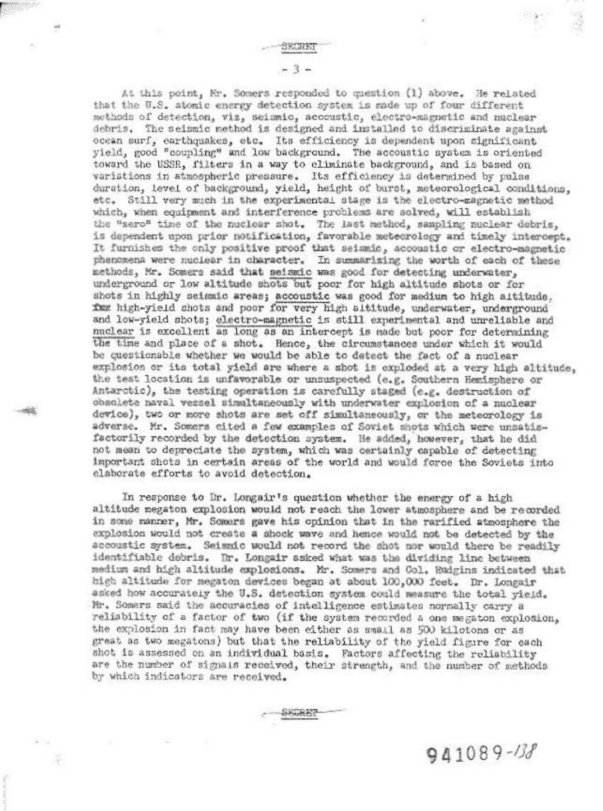$-3 -$ 

At this point, Mr. Somers responded to question (1) above. He related that the U.S. atomic energy detection system is made up of four different methods of detection, viz, seismic, accoustic, electro-magnetic and nuclear debris. The seismic method is designed and installed to discriminate against ocean surf, earthquakes, etc. Its efficiency is dependent upon significant yield, good "coupling" and low background. The accoustic system is oriented toward the USSR, filters in a way to climinate background, and is based on variations in atmospheric pressure. Its efficiency is determined by pulse duration, level of background, yield, height of burst, meteorological conditions. etc. Still very much in the experimental stage is the electro-magnetic method which, when equipment and interference problems are solved, will establish the "sero" time of the nuclear shot. The last method, sampling nuclear debris, is dependent upon prior notification, favorable meteorology and timely intercept. It furnishes the only positive proof that seismic, accoustic or electro-magnetic phenomena were nuclear in character. In summarizing the worth of each of these methods, Mr. Somers said that seismic was good for detecting underwater, underground or low altitude shots but poor for high altitude shots or for shots in highly seismic areas; accoustic was good for medium to high altitude. for high-yield shots and poor for very high altitude, underwater, underground and low-yield shots; electro-magnetic is still experimental and unreliable and nuclear is excellent as long as an intercept is made but poor for determining the time and place of a shot. Hence, the circumstances under which it would be questionable whether we would be able to datect the fact of a nuclear explosion or its total yield are where a shot is exploded at a very high altitude, the test location is unfavorable or unsuspected (e.g. Southern Hemisphere or Antarctic), the testing operation is carefully staged (e.g. destruction of obsolete naval vessel simultaneously with underwater explosion of a nuclear device), two or more shots are set off simultaneously, or the meteorology is adverse. Mr. Somers cited a few examples of Soviet shots which were unsatisfactorily recorded by the detection system. He added, however, that he did not mean to depreciate the system, which was certainly capable of detecting important shots in certain areas of the world and would force the Soviets into elaborate efforts to avoid detection.

In response to Dr. Longair's question whether the energy of a high altitude megaton explosion would not reach the lower atmosphere and be recorded in some manner, Mr. Somers gave his opinion that in the rarified atmosphere the explosion would not create a shock wave and hence would not be detected by the accoustic system. Seismic would not record the shot nor would there be readily identifiable debris. Dr. Longair asked what was the dividing line between medium and high altitude explosions. Mr. Somers and Col. Hudgins indicated that high altitude for megaton devices began at about 100,000 feet. Dr. Longair asked how accurately the U.S. detection system could measure the total yield. Mr. Somers said the accuracies of intelligence estimates normally carry a reliability of a factor of two (if the system recorded a one megaton explosion, the explosion in fact may have been either as small as 500 kilotons or as great as two megatons) but that the reliability of the yield figure for each shot is assessed on an individual basis. Factors affecting the reliability are the number of signals received, their strength, and the number of methods by which indicators are received.

 $941089 - 138$ 

Huit B?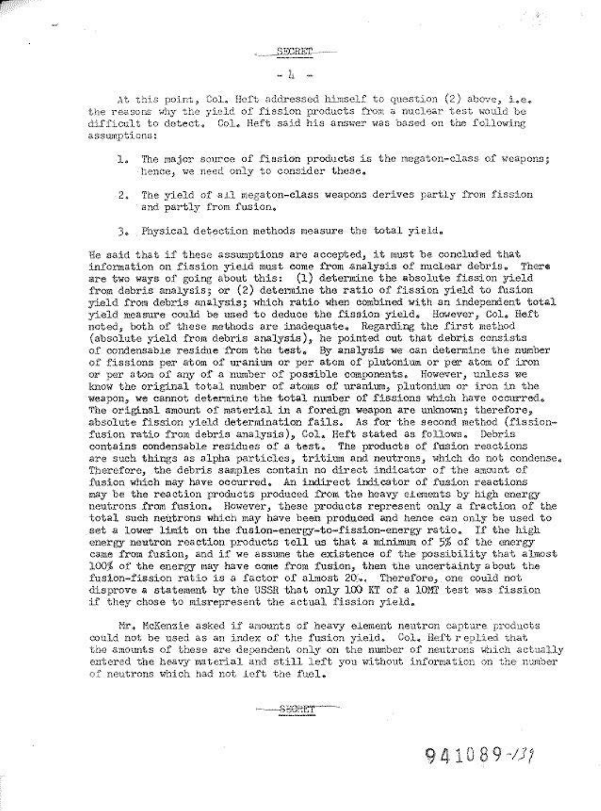## $-11 -$

At this point, Col. Heft addressed himself to question (2) above, i.e. the reasons why the yield of fission products from a nuclear test would be difficult to detect. Col. Heft said his answer was based on the following assumptions:

- The major source of fission products is the megaton-class of weapons;  $\mathbf{L}$ hence, we need only to consider these.
- 2. The yield of all megaton-class weapons derives partly from fission and partly from fusion.
- 3. Physical detection methods measure the total yield.

He said that if these assumptions are accepted, it must be concluded that information on fission yield must come from analysis of nuclear debris. There are two ways of going about this: (1) determine the absolute fission yield from debris analysis; or (2) determine the ratio of fission yield to fusion yield from debris analysis; which ratio when combined with an independent total yield measure could be used to deduce the fission yield. However, Col. Heft noted, both of these methods are inadequate. Regarding the first method (absolute yield from debris analysis), he pointed out that debris consists of condensable residue from the test. By analysis we can determine the number of fissions per atom of uranium or per atom of plutonium or per atom of iron or per stom of any of a number of possible components. However, unless we know the original total number of atoms of uranium, plutonium or iron in the weapon, we cannot determine the total number of fissions which have occurred. The original amount of material in a foreign weapon are unknown; therefore, absolute fission yield determination fails. As for the second method (fissionfusion ratio from debris analysis), Col. Heft stated as follows. Debris contains condensable residues of a test. The products of fusion reactions are such things as alpha particles, tritium and neutrons, which do not condense. Therefore, the debris samples contain no direct indicator of the amount of fusion which may have occurred. An indirect indicator of fusion reactions may be the reaction products produced from the heavy elements by high energy neutrons from fusion. However, these products represent only a fraction of the total such neutrons which may have been produced and hence can only be used to set a lower limit on the fusion-energy-to-fission-energy ratio. If the high energy neutron reaction products tell us that a minimum of 5% of the energy came from fusion, and if we assume the existence of the possibility that almost 100% of the energy may have come from fusion, then the uncertainty about the fusion-fission ratio is a factor of almost 20%. Therefore, one could not disprove a statement by the USSR that only 100 KT of a 10MT test was fission if they chose to misrepresent the actual fission yield.

Mr. McKenzie asked if amounts of heavy element neutron capture products could not be used as an index of the fusion yield. Col. Heft replied that the amounts of these are dependent only on the number of neutrons which actually entered the heavy material and still left you without information on the number of neutrons which had not left the fuel.

 $941089 - 139$ 

SHIRT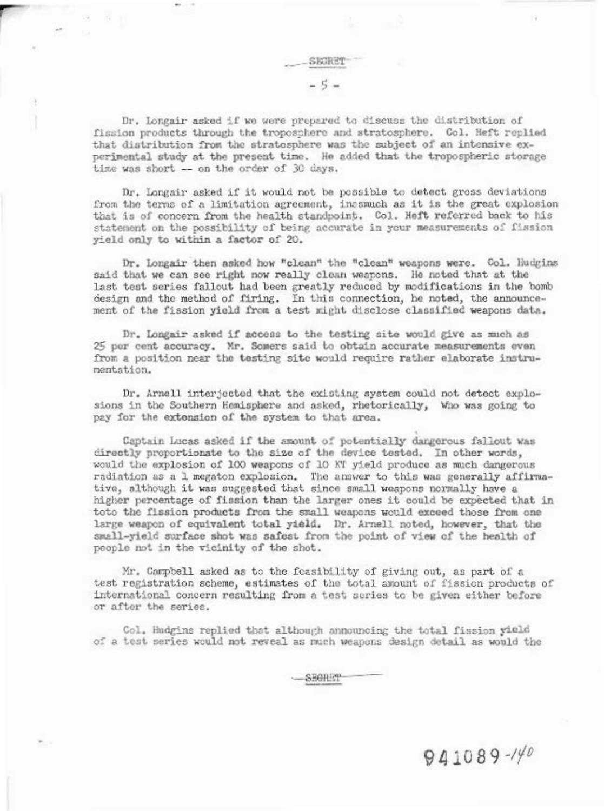SKORET  $-5-$ 

Dr. Longair asked if we were propared to discuss the distribution of fission products through the troposphere and stratosphere. Col. Heft replied that distribution from the stratosphere was the subject of an intensive experimental study at the present time. He added that the tropospheric storage time was short -- on the order of 30 days.

Dr. Longair asked if it would not be possible to detect gross deviations from the terms of a limitation agreement, inssmuch as it is the great explosion that is of concern from the health standpoint. Col. Heft referred back to his statement on the possibility of being accurate in your measurements of fission yield only to within a factor of 20.

Dr. Longair then asked how "clean" the "clean" weapons were. Col. Hudgins said that we can see right now really clean weapons. He noted that at the last test series fallout had been greatly reduced by modifications in the bomb design and the method of firing. In this connection, he noted, the announcement of the fission yield from a test might disclose classified weapons data.

Dr. Longair asked if access to the testing site would give as much as 25 per cent accuracy. Mr. Somers said to obtain accurate measurements even from a position near the testing site would require rather elaborate instrumentation.

Dr. Arnell interjected that the existing system could not detect explosions in the Southern Hemisphere and asked, rhetorically, Who was going to pay for the extension of the system to that area.

Captain Lucas asked if the amount of potentially dangerous fallout was directly proportionate to the size of the device tested. In other words, would the explosion of 100 weapons of 10 KT yield produce as much dangerous radiation as a 1 megaton explosion. The answer to this was generally affirmative, although it was suggested that since small weapons normally have a higher percentage of fission than the larger ones it could be expected that in toto the fission products from the small weapons would exceed those from one large weapon of equivalent total yield. Dr. Arnell noted, however, that the small-yield surface shot was safest from the point of view of the health of people not in the vicinity of the shot.

Mr. Campbell asked as to the feasibility of giving out, as part of a test registration scheme, estimates of the total amount of fission products of international concern resulting from a test series to be given either before or after the series.

Col. Hudgins replied that although announcing the total fission yield of a test series would not reveal as much weapons design detail as would the

SEGILET

 $941089 - 140$